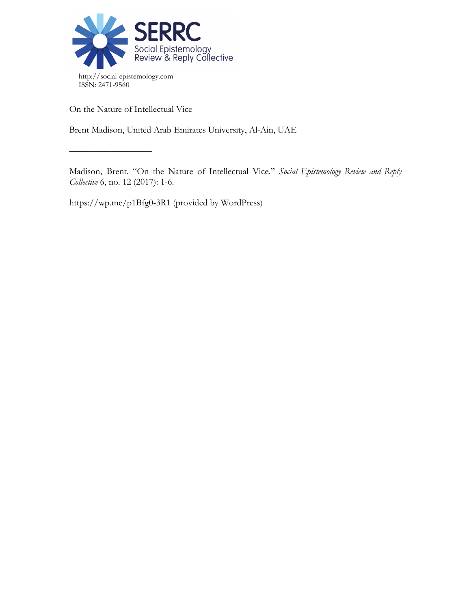

On the Nature of Intellectual Vice

 $\frac{\frac{1}{2}+\frac{1}{2}-\frac{1}{2}-\frac{1}{2}-\frac{1}{2}-\frac{1}{2}-\frac{1}{2}-\frac{1}{2}-\frac{1}{2}-\frac{1}{2}-\frac{1}{2}-\frac{1}{2}-\frac{1}{2}-\frac{1}{2}-\frac{1}{2}-\frac{1}{2}-\frac{1}{2}-\frac{1}{2}-\frac{1}{2}-\frac{1}{2}-\frac{1}{2}-\frac{1}{2}-\frac{1}{2}-\frac{1}{2}-\frac{1}{2}-\frac{1}{2}-\frac{1}{2}-\frac{1}{2}-\frac{1}{2}-\frac{1}{2}-\frac{1}{2}-\$ 

Brent Madison, United Arab Emirates University, Al-Ain, UAE

Madison, Brent. "On the Nature of Intellectual Vice." *Social Epistemology Review and Reply Collective* 6, no. 12 (2017): 1-6.

https://wp.me/p1Bfg0-3R1 (provided by WordPress)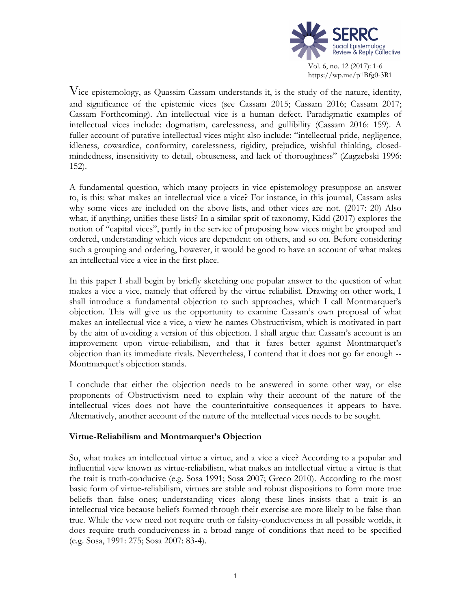

Vice epistemology, as Quassim Cassam understands it, is the study of the nature, identity, and significance of the epistemic vices (see Cassam 2015; Cassam 2016; Cassam 2017; Cassam Forthcoming). An intellectual vice is a human defect. Paradigmatic examples of intellectual vices include: dogmatism, carelessness, and gullibility (Cassam 2016: 159). A fuller account of putative intellectual vices might also include: "intellectual pride, negligence, idleness, cowardice, conformity, carelessness, rigidity, prejudice, wishful thinking, closedmindedness, insensitivity to detail, obtuseness, and lack of thoroughness" (Zagzebski 1996: 152).

A fundamental question, which many projects in vice epistemology presuppose an answer to, is this: what makes an intellectual vice a vice? For instance, in this journal, Cassam asks why some vices are included on the above lists, and other vices are not. (2017: 20) Also what, if anything, unifies these lists? In a similar sprit of taxonomy, Kidd (2017) explores the notion of "capital vices", partly in the service of proposing how vices might be grouped and ordered, understanding which vices are dependent on others, and so on. Before considering such a grouping and ordering, however, it would be good to have an account of what makes an intellectual vice a vice in the first place.

In this paper I shall begin by briefly sketching one popular answer to the question of what makes a vice a vice, namely that offered by the virtue reliabilist. Drawing on other work, I shall introduce a fundamental objection to such approaches, which I call Montmarquet's objection. This will give us the opportunity to examine Cassam's own proposal of what makes an intellectual vice a vice, a view he names Obstructivism, which is motivated in part by the aim of avoiding a version of this objection. I shall argue that Cassam's account is an improvement upon virtue-reliabilism, and that it fares better against Montmarquet's objection than its immediate rivals. Nevertheless, I contend that it does not go far enough -- Montmarquet's objection stands.

I conclude that either the objection needs to be answered in some other way, or else proponents of Obstructivism need to explain why their account of the nature of the intellectual vices does not have the counterintuitive consequences it appears to have. Alternatively, another account of the nature of the intellectual vices needs to be sought.

# **Virtue-Reliabilism and Montmarquet's Objection**

So, what makes an intellectual virtue a virtue, and a vice a vice? According to a popular and influential view known as virtue-reliabilism, what makes an intellectual virtue a virtue is that the trait is truth-conducive (e.g. Sosa 1991; Sosa 2007; Greco 2010). According to the most basic form of virtue-reliabilism, virtues are stable and robust dispositions to form more true beliefs than false ones; understanding vices along these lines insists that a trait is an intellectual vice because beliefs formed through their exercise are more likely to be false than true. While the view need not require truth or falsity-conduciveness in all possible worlds, it does require truth-conduciveness in a broad range of conditions that need to be specified (e.g. Sosa, 1991: 275; Sosa 2007: 83-4).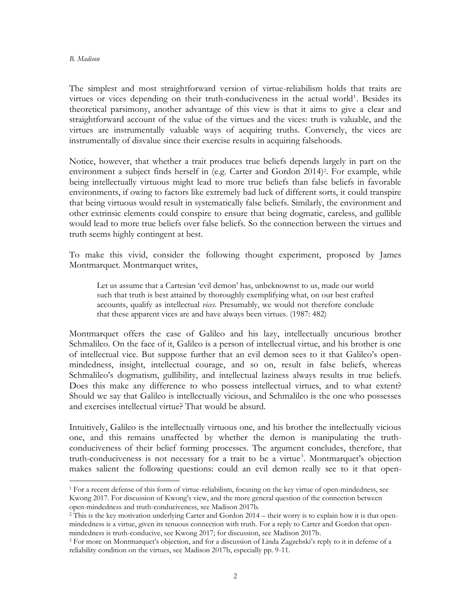#### *B. Madison*

 $\overline{a}$ 

The simplest and most straightforward version of virtue-reliabilism holds that traits are virtues or vices depending on their truth-conduciveness in the actual world<sup>1</sup>. Besides its theoretical parsimony, another advantage of this view is that it aims to give a clear and straightforward account of the value of the virtues and the vices: truth is valuable, and the virtues are instrumentally valuable ways of acquiring truths. Conversely, the vices are instrumentally of disvalue since their exercise results in acquiring falsehoods.

Notice, however, that whether a trait produces true beliefs depends largely in part on the environment a subject finds herself in (e.g. Carter and Gordon 2014)<sup>2</sup>. For example, while being intellectually virtuous might lead to more true beliefs than false beliefs in favorable environments, if owing to factors like extremely bad luck of different sorts, it could transpire that being virtuous would result in systematically false beliefs. Similarly, the environment and other extrinsic elements could conspire to ensure that being dogmatic, careless, and gullible would lead to more true beliefs over false beliefs. So the connection between the virtues and truth seems highly contingent at best.

To make this vivid, consider the following thought experiment, proposed by James Montmarquet. Montmarquet writes,

Let us assume that a Cartesian 'evil demon' has, unbeknownst to us, made our world such that truth is best attained by thoroughly exemplifying what, on our best crafted accounts, qualify as intellectual *vices*. Presumably, we would not therefore conclude that these apparent vices are and have always been virtues. (1987: 482)

Montmarquet offers the case of Galileo and his lazy, intellectually uncurious brother Schmalileo. On the face of it, Galileo is a person of intellectual virtue, and his brother is one of intellectual vice. But suppose further that an evil demon sees to it that Galileo's openmindedness, insight, intellectual courage, and so on, result in false beliefs, whereas Schmalileo's dogmatism, gullibility, and intellectual laziness always results in true beliefs. Does this make any difference to who possess intellectual virtues, and to what extent? Should we say that Galileo is intellectually vicious, and Schmalileo is the one who possesses and exercises intellectual virtue? That would be absurd.

Intuitively, Galileo is the intellectually virtuous one, and his brother the intellectually vicious one, and this remains unaffected by whether the demon is manipulating the truthconduciveness of their belief forming processes. The argument concludes, therefore, that truth-conduciveness is not necessary for a trait to be a virtue<sup>3</sup>. Montmarquet's objection makes salient the following questions: could an evil demon really see to it that open-

<sup>1</sup> For a recent defense of this form of virtue-reliabilism, focusing on the key virtue of open-mindedness, see Kwong 2017. For discussion of Kwong's view, and the more general question of the connection between open-mindedness and truth-conduciveness, see Madison 2017b.

<sup>&</sup>lt;sup>2</sup> This is the key motivation underlying Carter and Gordon 2014 – their worry is to explain how it is that openmindedness is a virtue, given its tenuous connection with truth. For a reply to Carter and Gordon that openmindedness is truth-conducive, see Kwong 2017; for discussion, see Madison 2017b.

<sup>3</sup> For more on Montmarquet's objection, and for a discussion of Linda Zagzebski's reply to it in defense of a reliability condition on the virtues, see Madison 2017b, especially pp. 9-11.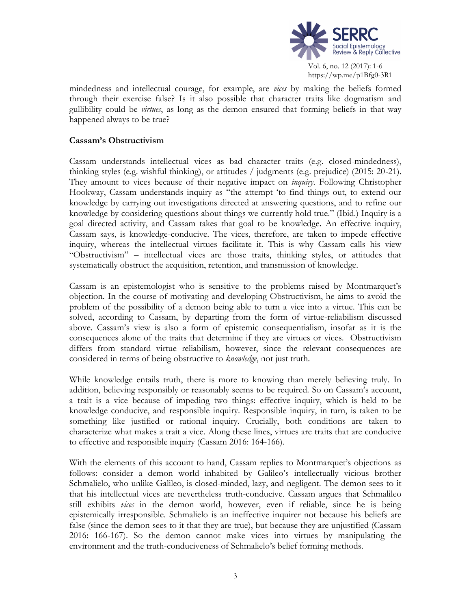

mindedness and intellectual courage, for example, are *vices* by making the beliefs formed through their exercise false? Is it also possible that character traits like dogmatism and gullibility could be *virtues*, as long as the demon ensured that forming beliefs in that way happened always to be true?

## **Cassam's Obstructivism**

Cassam understands intellectual vices as bad character traits (e.g. closed-mindedness), thinking styles (e.g. wishful thinking), or attitudes / judgments (e.g. prejudice) (2015: 20-21). They amount to vices because of their negative impact on *inquiry*. Following Christopher Hookway, Cassam understands inquiry as "the attempt 'to find things out, to extend our knowledge by carrying out investigations directed at answering questions, and to refine our knowledge by considering questions about things we currently hold true." (Ibid.) Inquiry is a goal directed activity, and Cassam takes that goal to be knowledge. An effective inquiry, Cassam says, is knowledge-conducive. The vices, therefore, are taken to impede effective inquiry, whereas the intellectual virtues facilitate it. This is why Cassam calls his view "Obstructivism" – intellectual vices are those traits, thinking styles, or attitudes that systematically obstruct the acquisition, retention, and transmission of knowledge.

Cassam is an epistemologist who is sensitive to the problems raised by Montmarquet's objection. In the course of motivating and developing Obstructivism, he aims to avoid the problem of the possibility of a demon being able to turn a vice into a virtue. This can be solved, according to Cassam, by departing from the form of virtue-reliabilism discussed above. Cassam's view is also a form of epistemic consequentialism, insofar as it is the consequences alone of the traits that determine if they are virtues or vices. Obstructivism differs from standard virtue reliabilism, however, since the relevant consequences are considered in terms of being obstructive to *knowledge*, not just truth.

While knowledge entails truth, there is more to knowing than merely believing truly. In addition, believing responsibly or reasonably seems to be required. So on Cassam's account, a trait is a vice because of impeding two things: effective inquiry, which is held to be knowledge conducive, and responsible inquiry. Responsible inquiry, in turn, is taken to be something like justified or rational inquiry. Crucially, both conditions are taken to characterize what makes a trait a vice. Along these lines, virtues are traits that are conducive to effective and responsible inquiry (Cassam 2016: 164-166).

With the elements of this account to hand, Cassam replies to Montmarquet's objections as follows: consider a demon world inhabited by Galileo's intellectually vicious brother Schmalielo, who unlike Galileo, is closed-minded, lazy, and negligent. The demon sees to it that his intellectual vices are nevertheless truth-conducive. Cassam argues that Schmalileo still exhibits *vices* in the demon world, however, even if reliable, since he is being epistemically irresponsible. Schmalielo is an ineffective inquirer not because his beliefs are false (since the demon sees to it that they are true), but because they are unjustified (Cassam 2016: 166-167). So the demon cannot make vices into virtues by manipulating the environment and the truth-conduciveness of Schmalielo's belief forming methods.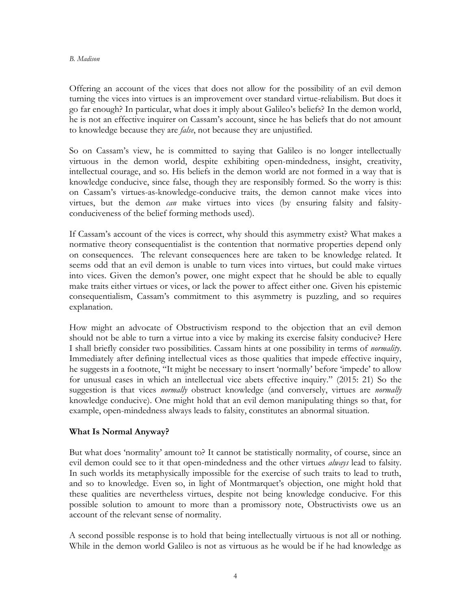#### *B. Madison*

Offering an account of the vices that does not allow for the possibility of an evil demon turning the vices into virtues is an improvement over standard virtue-reliabilism. But does it go far enough? In particular, what does it imply about Galileo's beliefs? In the demon world, he is not an effective inquirer on Cassam's account, since he has beliefs that do not amount to knowledge because they are *false*, not because they are unjustified.

So on Cassam's view, he is committed to saying that Galileo is no longer intellectually virtuous in the demon world, despite exhibiting open-mindedness, insight, creativity, intellectual courage, and so. His beliefs in the demon world are not formed in a way that is knowledge conducive, since false, though they are responsibly formed. So the worry is this: on Cassam's virtues-as-knowledge-conducive traits, the demon cannot make vices into virtues, but the demon *can* make virtues into vices (by ensuring falsity and falsityconduciveness of the belief forming methods used).

If Cassam's account of the vices is correct, why should this asymmetry exist? What makes a normative theory consequentialist is the contention that normative properties depend only on consequences. The relevant consequences here are taken to be knowledge related. It seems odd that an evil demon is unable to turn vices into virtues, but could make virtues into vices. Given the demon's power, one might expect that he should be able to equally make traits either virtues or vices, or lack the power to affect either one. Given his epistemic consequentialism, Cassam's commitment to this asymmetry is puzzling, and so requires explanation.

How might an advocate of Obstructivism respond to the objection that an evil demon should not be able to turn a virtue into a vice by making its exercise falsity conducive? Here I shall briefly consider two possibilities. Cassam hints at one possibility in terms of *normality*. Immediately after defining intellectual vices as those qualities that impede effective inquiry, he suggests in a footnote, "It might be necessary to insert 'normally' before 'impede' to allow for unusual cases in which an intellectual vice abets effective inquiry." (2015: 21) So the suggestion is that vices *normally* obstruct knowledge (and conversely, virtues are *normally* knowledge conducive). One might hold that an evil demon manipulating things so that, for example, open-mindedness always leads to falsity, constitutes an abnormal situation.

# **What Is Normal Anyway?**

But what does 'normality' amount to? It cannot be statistically normality, of course, since an evil demon could see to it that open-mindedness and the other virtues *always* lead to falsity. In such worlds its metaphysically impossible for the exercise of such traits to lead to truth, and so to knowledge. Even so, in light of Montmarquet's objection, one might hold that these qualities are nevertheless virtues, despite not being knowledge conducive. For this possible solution to amount to more than a promissory note, Obstructivists owe us an account of the relevant sense of normality.

A second possible response is to hold that being intellectually virtuous is not all or nothing. While in the demon world Galileo is not as virtuous as he would be if he had knowledge as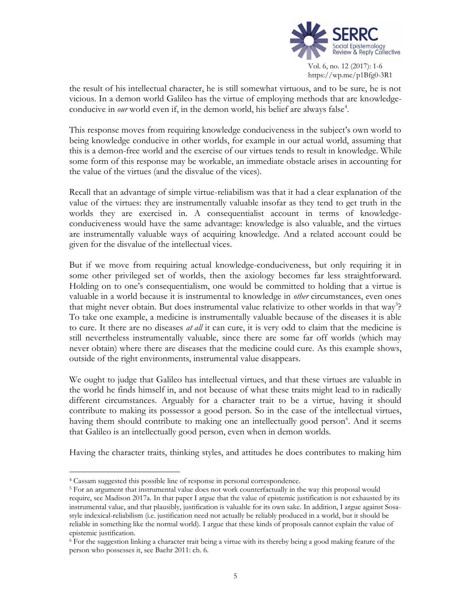

the result of his intellectual character, he is still somewhat virtuous, and to be sure, he is not vicious. In a demon world Galileo has the virtue of employing methods that are knowledgeconducive in our world even if, in the demon world, his belief are always false<sup>4</sup>.

This response moves from requiring knowledge conduciveness in the subject's own world to being knowledge conducive in other worlds, for example in our actual world, assuming that this is a demon-free world and the exercise of our virtues tends to result in knowledge. While some form of this response may be workable, an immediate obstacle arises in accounting for the value of the virtues (and the disvalue of the vices).

Recall that an advantage of simple virtue-reliabilism was that it had a clear explanation of the value of the virtues: they are instrumentally valuable insofar as they tend to get truth in the worlds they are exercised in. A consequentialist account in terms of knowledgeconduciveness would have the same advantage: knowledge is also valuable, and the virtues are instrumentally valuable ways of acquiring knowledge. And a related account could be given for the disvalue of the intellectual vices.

But if we move from requiring actual knowledge-conduciveness, but only requiring it in some other privileged set of worlds, then the axiology becomes far less straightforward. Holding on to one's consequentialism, one would be committed to holding that a virtue is valuable in a world because it is instrumental to knowledge in *other* circumstances, even ones that might never obtain. But does instrumental value relativize to other worlds in that way<sup>5</sup>? To take one example, a medicine is instrumentally valuable because of the diseases it is able to cure. It there are no diseases *at all* it can cure, it is very odd to claim that the medicine is still nevertheless instrumentally valuable, since there are some far off worlds (which may never obtain) where there are diseases that the medicine could cure. As this example shows, outside of the right environments, instrumental value disappears.

We ought to judge that Galileo has intellectual virtues, and that these virtues are valuable in the world he finds himself in, and not because of what these traits might lead to in radically different circumstances. Arguably for a character trait to be a virtue, having it should contribute to making its possessor a good person. So in the case of the intellectual virtues, having them should contribute to making one an intellectually good person<sup>6</sup>. And it seems that Galileo is an intellectually good person, even when in demon worlds.

Having the character traits, thinking styles, and attitudes he does contributes to making him

 $\overline{a}$ 

<sup>4</sup> Cassam suggested this possible line of response in personal correspondence.

<sup>&</sup>lt;sup>5</sup> For an argument that instrumental value does not work counterfactually in the way this proposal would require, see Madison 2017a. In that paper I argue that the value of epistemic justification is not exhausted by its instrumental value, and that plausibly, justification is valuable for its own sake. In addition, I argue against Sosastyle indexical-reliabilism (i.e. justification need not actually be reliably produced in a world, but it should be reliable in something like the normal world). I argue that these kinds of proposals cannot explain the value of epistemic justification.

<sup>6</sup> For the suggestion linking a character trait being a virtue with its thereby being a good making feature of the person who possesses it, see Baehr 2011: ch. 6.